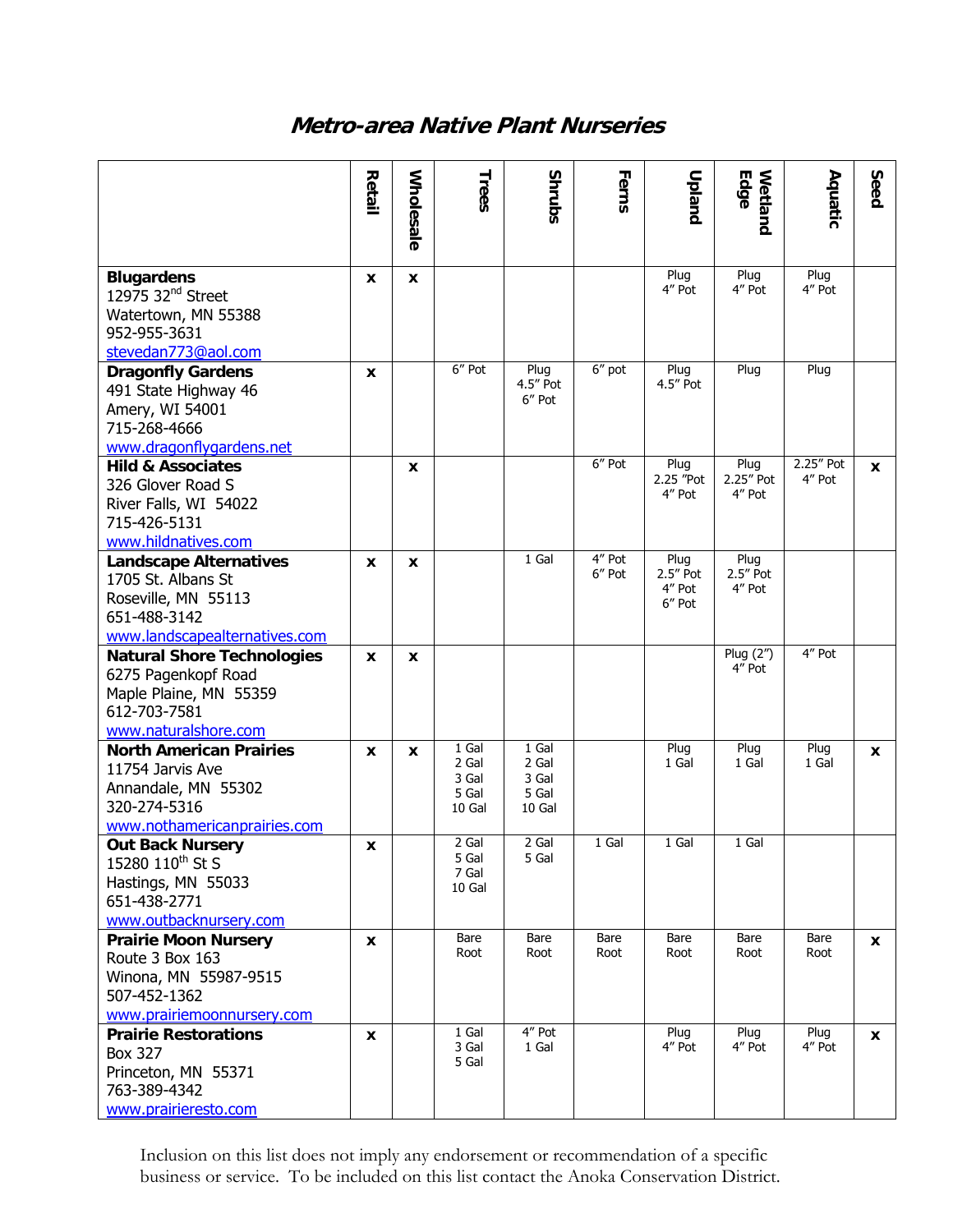# **Metro-area Native Plant Nurseries**

|                                                                                                                             | Retail | <b>Wholesale</b> | Trees                                      | <b>Shrubs</b>                              | Ferns            | Upland                                  | Edge<br>Wetland             | Aquatic             | Seed         |
|-----------------------------------------------------------------------------------------------------------------------------|--------|------------------|--------------------------------------------|--------------------------------------------|------------------|-----------------------------------------|-----------------------------|---------------------|--------------|
|                                                                                                                             |        |                  |                                            |                                            |                  |                                         |                             |                     |              |
| <b>Blugardens</b><br>12975 32 <sup>nd</sup> Street<br>Watertown, MN 55388<br>952-955-3631<br>stevedan773@aol.com            | X      | X                |                                            |                                            |                  | Plug<br>4" Pot                          | Plug<br>4" Pot              | Plug<br>4" Pot      |              |
| <b>Dragonfly Gardens</b><br>491 State Highway 46<br>Amery, WI 54001<br>715-268-4666<br>www.dragonflygardens.net             | X      |                  | 6" Pot                                     | Plug<br>4.5" Pot<br>6" Pot                 | 6" pot           | Plug<br>4.5" Pot                        | Plug                        | Plug                |              |
| <b>Hild &amp; Associates</b><br>326 Glover Road S<br>River Falls, WI 54022<br>715-426-5131<br>www.hildnatives.com           |        | X                |                                            |                                            | 6" Pot           | Plug<br>2.25 "Pot<br>4" Pot             | Plug<br>2.25" Pot<br>4" Pot | 2.25" Pot<br>4" Pot | X            |
| <b>Landscape Alternatives</b><br>1705 St. Albans St<br>Roseville, MN 55113<br>651-488-3142<br>www.landscapealternatives.com | X      | X                |                                            | 1 Gal                                      | 4" Pot<br>6" Pot | Plug<br>$2.5''$ Pot<br>4" Pot<br>6" Pot | Plug<br>2.5" Pot<br>4" Pot  |                     |              |
| <b>Natural Shore Technologies</b><br>6275 Pagenkopf Road<br>Maple Plaine, MN 55359<br>612-703-7581<br>www.naturalshore.com  | X      | X                |                                            |                                            |                  |                                         | Plug (2")<br>4" Pot         | $4''$ Pot           |              |
| <b>North American Prairies</b><br>11754 Jarvis Ave<br>Annandale, MN 55302<br>320-274-5316<br>www.nothamericanprairies.com   | X      | X                | 1 Gal<br>2 Gal<br>3 Gal<br>5 Gal<br>10 Gal | 1 Gal<br>2 Gal<br>3 Gal<br>5 Gal<br>10 Gal |                  | Plug<br>1 Gal                           | Plug<br>1 Gal               | Plug<br>1 Gal       | X            |
| <b>Out Back Nursery</b><br>15280 110 <sup>th</sup> St S<br>Hastings, MN 55033<br>651-438-2771<br>www.outbacknursery.com     | X      |                  | 2 Gal<br>5 Gal<br>7 Gal<br>10 Gal          | 2 Gal<br>5 Gal                             | 1 Gal            | 1 Gal                                   | 1 Gal                       |                     |              |
| <b>Prairie Moon Nursery</b><br>Route 3 Box 163<br>Winona, MN 55987-9515<br>507-452-1362<br>www.prairiemoonnursery.com       | x      |                  | Bare<br>Root                               | Bare<br>Root                               | Bare<br>Root     | Bare<br>Root                            | Bare<br>Root                | Bare<br>Root        | $\mathbf{x}$ |
| <b>Prairie Restorations</b><br><b>Box 327</b><br>Princeton, MN 55371<br>763-389-4342<br>www.prairieresto.com                | x      |                  | 1 Gal<br>3 Gal<br>5 Gal                    | 4" Pot<br>1 Gal                            |                  | Plug<br>4" Pot                          | Plug<br>4" Pot              | Plug<br>4" Pot      | $\mathbf{x}$ |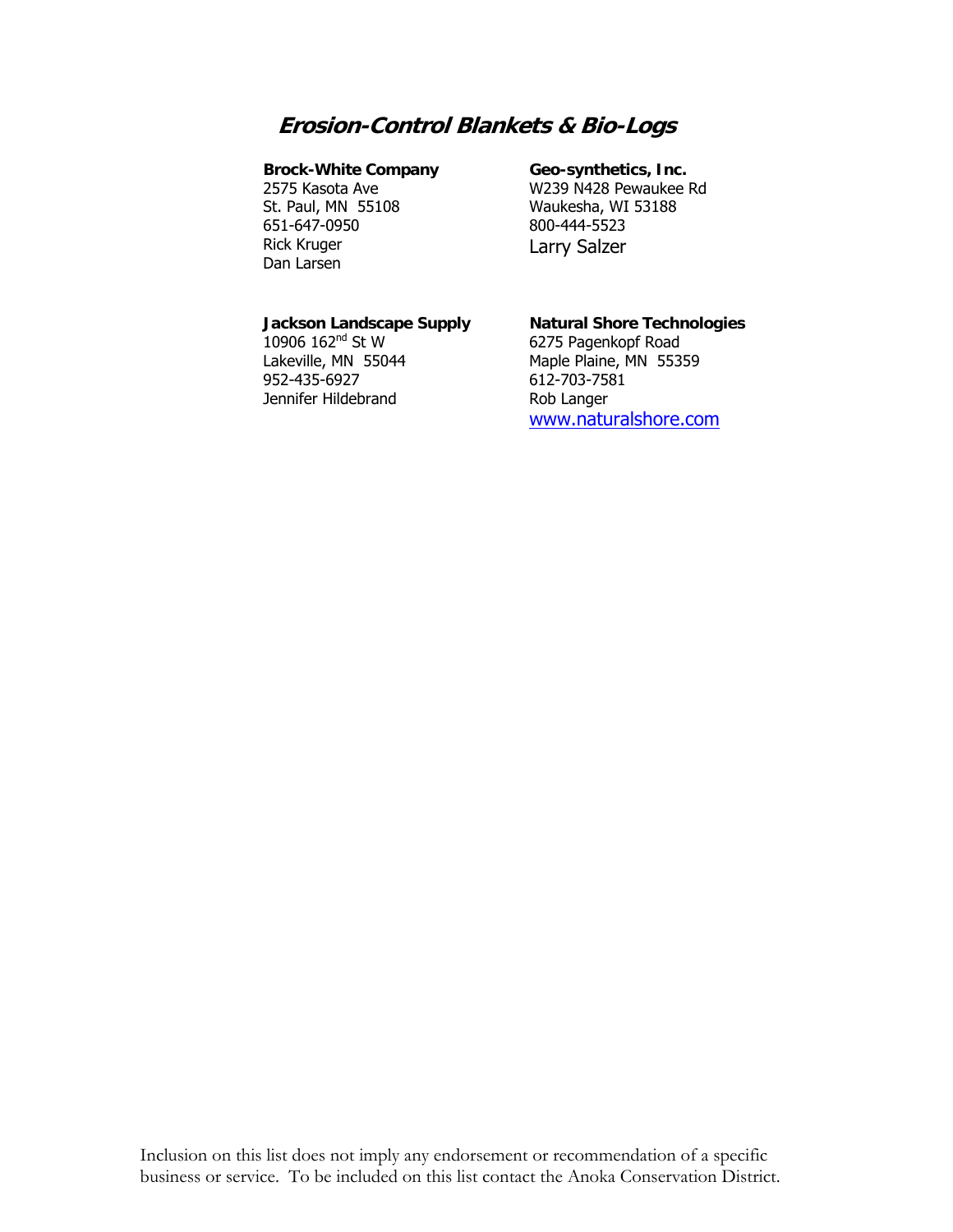# **Erosion-Control Blankets & Bio-Logs**

#### **Brock-White Company**

2575 Kasota Ave St. Paul, MN 55108 651-647-0950 Rick Kruger Dan Larsen

#### **Geo-synthetics, Inc.**

W239 N428 Pewaukee Rd Waukesha, WI 53188 800-444-5523 Larry Salzer

# **Jackson Landscape Supply**

10906 162nd St W Lakeville, MN 55044 952-435-6927 Jennifer Hildebrand

# **Natural Shore Technologies**

6275 Pagenkopf Road Maple Plaine, MN 55359 612-703-7581 Rob Langer www.naturalshore.com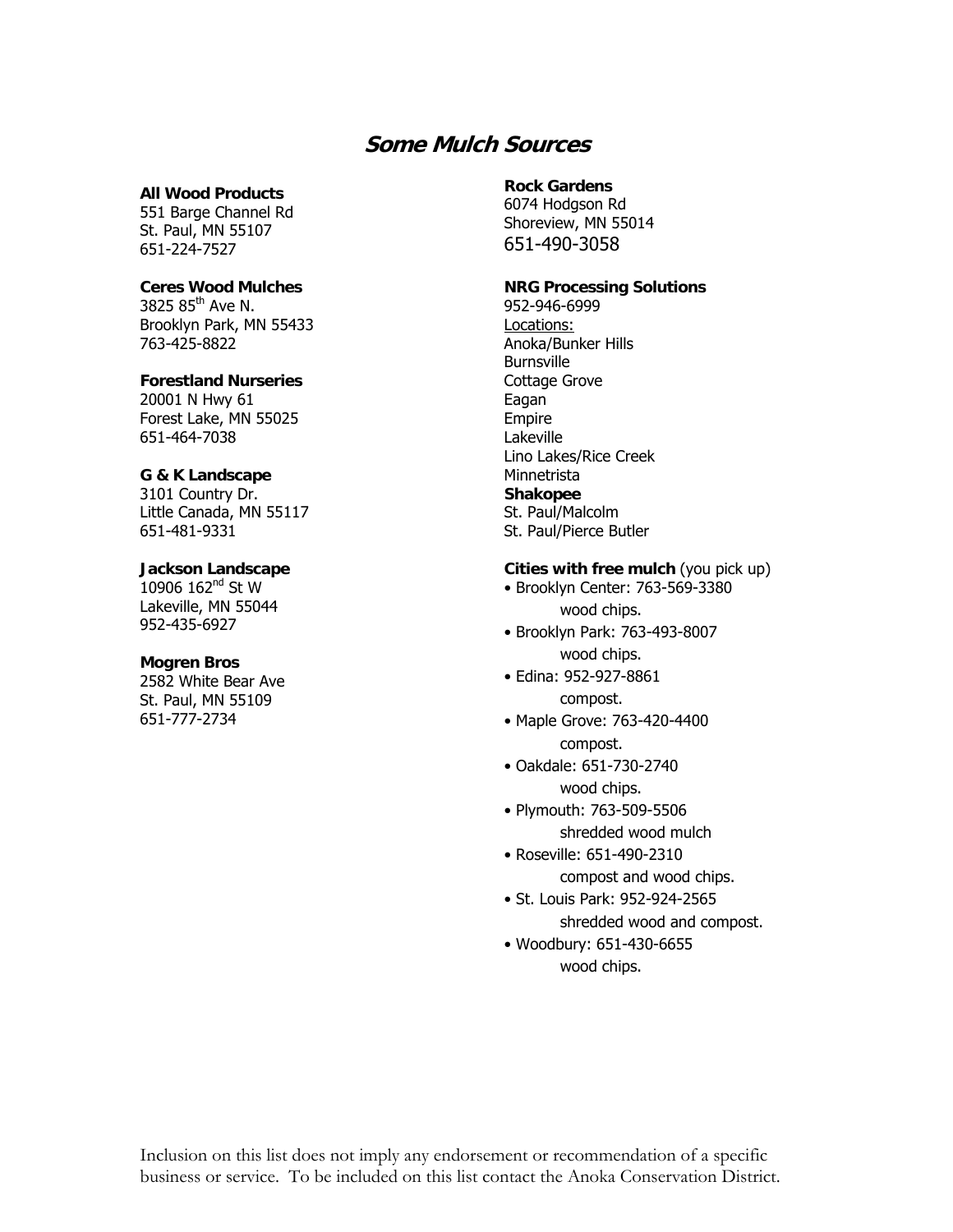# **Some Mulch Sources**

### **All Wood Products**

551 Barge Channel Rd St. Paul, MN 55107 651-224-7527

#### **Ceres Wood Mulches**

3825  $85^{\text{th}}$  Ave N. Brooklyn Park, MN 55433 763-425-8822

# **Forestland Nurseries**

20001 N Hwy 61 Forest Lake, MN 55025 651-464-7038

#### **G & K Landscape**

3101 Country Dr. Little Canada, MN 55117 651-481-9331

# **Jackson Landscape**

10906 162<sup>nd</sup> St W Lakeville, MN 55044 952-435-6927

### **Mogren Bros**

2582 White Bear Ave St. Paul, MN 55109 651-777-2734

### **Rock Gardens**

6074 Hodgson Rd Shoreview, MN 55014 651-490-3058

# **NRG Processing Solutions**

952-946-6999 Locations: Anoka/Bunker Hills **Burnsville** Cottage Grove Eagan Empire Lakeville Lino Lakes/Rice Creek Minnetrista **Shakopee**  St. Paul/Malcolm St. Paul/Pierce Butler

### **Cities with free mulch** (you pick up)

• Brooklyn Center: 763-569-3380 wood chips.

- Brooklyn Park: 763-493-8007 wood chips.
- Edina: 952-927-8861 compost.
- Maple Grove: 763-420-4400 compost.
- Oakdale: 651-730-2740 wood chips.
- Plymouth: 763-509-5506 shredded wood mulch
- Roseville: 651-490-2310 compost and wood chips.
- St. Louis Park: 952-924-2565 shredded wood and compost.
- Woodbury: 651-430-6655 wood chips.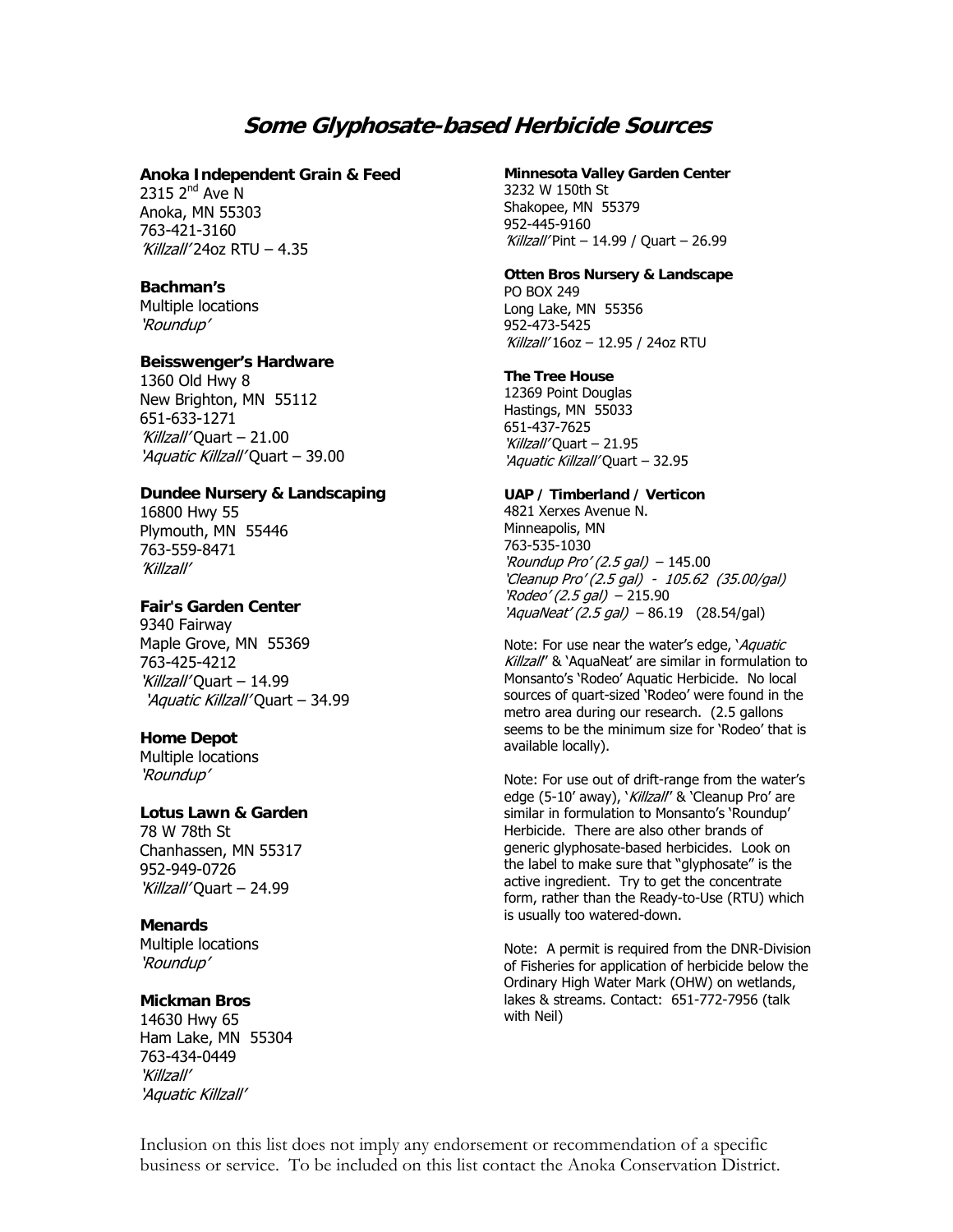# **Some Glyphosate-based Herbicide Sources**

#### **Anoka Independent Grain & Feed**

 $2315$   $2^{nd}$  Ave N Anoka, MN 55303 763-421-3160 'Killzall' 24oz RTU – 4.35

#### **Bachman's**

Multiple locations 'Roundup'

#### **Beisswenger's Hardware**

1360 Old Hwy 8 New Brighton, MN 55112 651-633-1271 'Killzall' Quart – 21.00 'Aquatic Killzall' Quart – 39.00

## **Dundee Nursery & Landscaping**

16800 Hwy 55 Plymouth, MN 55446 763-559-8471 'Killzall'

#### **Fair's Garden Center**

9340 Fairway Maple Grove, MN 55369 763-425-4212 Killzall' Quart – 14.99 'Aquatic Killzall' Quart - 34.99

### **Home Depot**

Multiple locations 'Roundup'

### **Lotus Lawn & Garden**

78 W 78th St Chanhassen, MN 55317 952-949-0726 'Killzall' Quart – 24.99

## **Menards**

Multiple locations 'Roundup'

# **Mickman Bros**

14630 Hwy 65 Ham Lake, MN 55304 763-434-0449 'Killzall' 'Aquatic Killzall'

**Minnesota Valley Garden Center**  3232 W 150th St Shakopee, MN 55379 952-445-9160 'Killzall' Pint – 14.99 / Quart – 26.99

## **Otten Bros Nursery & Landscape**  PO BOX 249

Long Lake, MN 55356 952-473-5425 'Killzall' 16oz – 12.95 / 24oz RTU

#### **The Tree House**

12369 Point Douglas Hastings, MN 55033 651-437-7625 Killzall'Ouart – 21.95 'Aquatic Killzall' Quart – 32.95

#### **UAP / Timberland / Verticon**

4821 Xerxes Avenue N. Minneapolis, MN 763-535-1030 'Roundup Pro' (2.5 gal)  $-$  145.00 'Cleanup Pro' (2.5 gal) - 105.62 (35.00/gal)  $'Ro$ deo' (2.5 gal) - 215.90  $'Aqual/ (2.5 gal) - 86.19$  (28.54/gal)

Note: For use near the water's edge, *`Aquatic* Killzall'' & 'AquaNeat' are similar in formulation to Monsanto's 'Rodeo' Aquatic Herbicide. No local sources of quart-sized 'Rodeo' were found in the metro area during our research. (2.5 gallons seems to be the minimum size for 'Rodeo' that is available locally).

Note: For use out of drift-range from the water's edge (5-10' away), 'Killzall' & 'Cleanup Pro' are similar in formulation to Monsanto's 'Roundup' Herbicide. There are also other brands of generic glyphosate-based herbicides. Look on the label to make sure that "glyphosate" is the active ingredient. Try to get the concentrate form, rather than the Ready-to-Use (RTU) which is usually too watered-down.

Note: A permit is required from the DNR-Division of Fisheries for application of herbicide below the Ordinary High Water Mark (OHW) on wetlands, lakes & streams. Contact: 651-772-7956 (talk with Neil)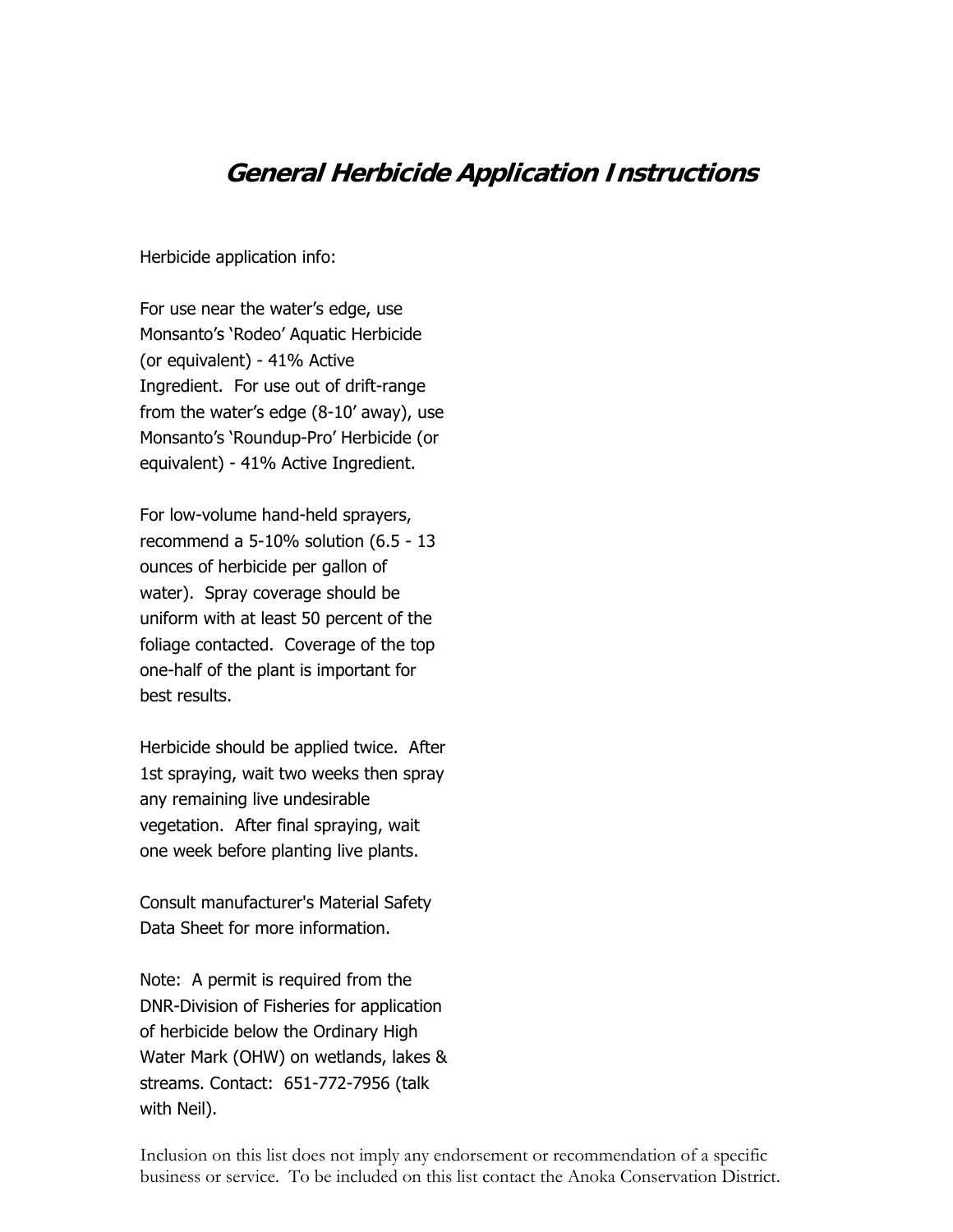# **General Herbicide Application Instructions**

Herbicide application info:

For use near the water's edge, use Monsanto's 'Rodeo' Aquatic Herbicide (or equivalent) - 41% Active Ingredient. For use out of drift-range from the water's edge (8-10' away), use Monsanto's 'Roundup-Pro' Herbicide (or equivalent) - 41% Active Ingredient.

For low-volume hand-held sprayers, recommend a 5-10% solution (6.5 - 13 ounces of herbicide per gallon of water). Spray coverage should be uniform with at least 50 percent of the foliage contacted. Coverage of the top one-half of the plant is important for best results.

Herbicide should be applied twice. After 1st spraying, wait two weeks then spray any remaining live undesirable vegetation. After final spraying, wait one week before planting live plants.

Consult manufacturer's Material Safety Data Sheet for more information.

Note: A permit is required from the DNR-Division of Fisheries for application of herbicide below the Ordinary High Water Mark (OHW) on wetlands, lakes & streams. Contact: 651-772-7956 (talk with Neil).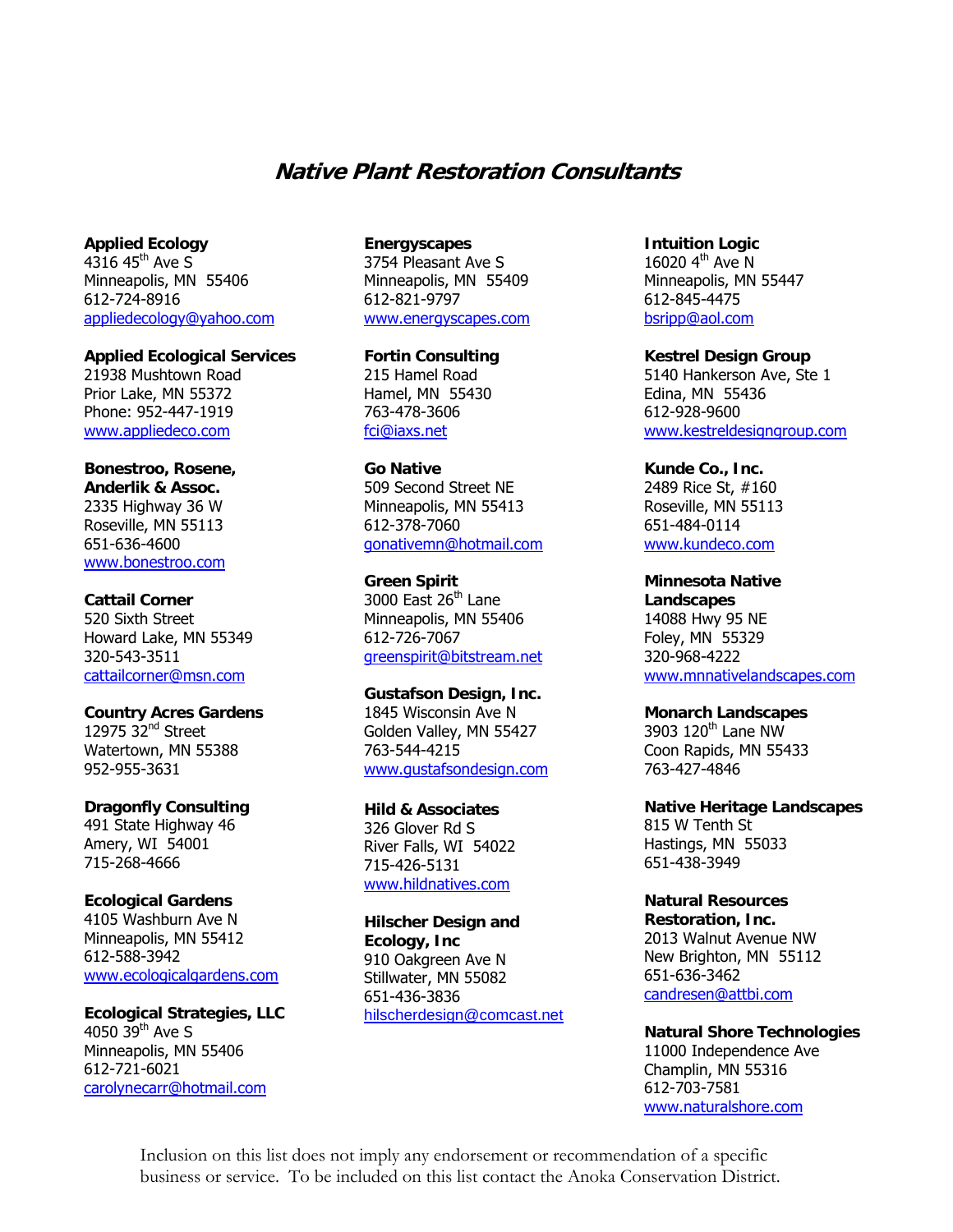# **Native Plant Restoration Consultants**

**Applied Ecology**   $4316$  45<sup>th</sup> Ave S Minneapolis, MN 55406 612-724-8916 appliedecology@yahoo.com

**Applied Ecological Services**  21938 Mushtown Road Prior Lake, MN 55372 Phone: 952-447-1919 www.appliedeco.com

# **Bonestroo, Rosene, Anderlik & Assoc.**  2335 Highway 36 W Roseville, MN 55113 651-636-4600 www.bonestroo.com

#### **Cattail Corner**

520 Sixth Street Howard Lake, MN 55349 320-543-3511 cattailcorner@msn.com

# **Country Acres Gardens**  12975 32<sup>nd</sup> Street

Watertown, MN 55388 952-955-3631

## **Dragonfly Consulting**

491 State Highway 46 Amery, WI 54001 715-268-4666

# **Ecological Gardens**

4105 Washburn Ave N Minneapolis, MN 55412 612-588-3942 www.ecologicalgardens.com

**Ecological Strategies, LLC**  4050  $39<sup>th</sup>$  Ave S Minneapolis, MN 55406 612-721-6021 carolynecarr@hotmail.com

#### **Energyscapes**

3754 Pleasant Ave S Minneapolis, MN 55409 612-821-9797 www.energyscapes.com

**Fortin Consulting**  215 Hamel Road Hamel, MN 55430 763-478-3606 fci@iaxs.net

**Go Native**  509 Second Street NE Minneapolis, MN 55413 612-378-7060 gonativemn@hotmail.com

**Green Spirit** 

3000 East  $26<sup>th</sup>$  Lane Minneapolis, MN 55406 612-726-7067 greenspirit@bitstream.net

# **Gustafson Design, Inc.**

1845 Wisconsin Ave N Golden Valley, MN 55427 763-544-4215 www.gustafsondesign.com

**Hild & Associates** 

326 Glover Rd S River Falls, WI 54022 715-426-5131 www.hildnatives.com

**Hilscher Design and Ecology, Inc**  910 Oakgreen Ave N Stillwater, MN 55082 651-436-3836 hilscherdesign@comcast.net

**Intuition Logic**  16020 4<sup>th</sup> Ave N Minneapolis, MN 55447 612-845-4475 bsripp@aol.com

**Kestrel Design Group**  5140 Hankerson Ave, Ste 1 Edina, MN 55436 612-928-9600 www.kestreldesigngroup.com

**Kunde Co., Inc.**  2489 Rice St, #160 Roseville, MN 55113 651-484-0114 www.kundeco.com

**Minnesota Native Landscapes**  14088 Hwy 95 NE Foley, MN 55329 320-968-4222 www.mnnativelandscapes.com

### **Monarch Landscapes**

3903 120th Lane NW Coon Rapids, MN 55433 763-427-4846

**Native Heritage Landscapes**  815 W Tenth St Hastings, MN 55033 651-438-3949

**Natural Resources Restoration, Inc.**  2013 Walnut Avenue NW

New Brighton, MN 55112 651-636-3462 candresen@attbi.com

**Natural Shore Technologies**  11000 Independence Ave Champlin, MN 55316 612-703-7581 www.naturalshore.com